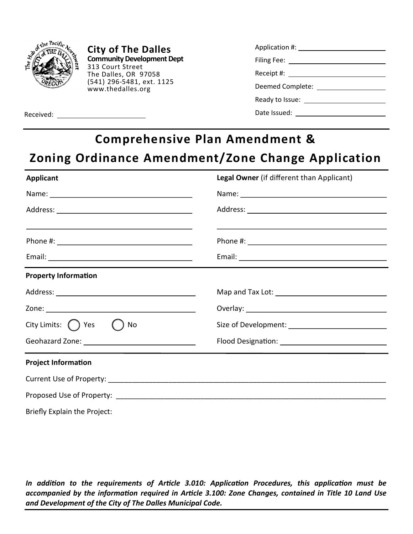

**City of The Dalles Community Development Dept**  313 Court Street The Dalles, OR 97058 (541) 296-5481, ext. 1125 www.thedalles.org

| Filing Fee: <u>_______________________</u> |  |
|--------------------------------------------|--|
|                                            |  |
| Deemed Complete:                           |  |
|                                            |  |
| Date Issued:                               |  |

Received:

## **Comprehensive Plan Amendment &**

## **Zoning Ordinance Amendment/Zone Change Application**

| <b>Applicant</b>                                                                                                                                                                                                              | Legal Owner (if different than Applicant)                                                                                                                                                                                      |
|-------------------------------------------------------------------------------------------------------------------------------------------------------------------------------------------------------------------------------|--------------------------------------------------------------------------------------------------------------------------------------------------------------------------------------------------------------------------------|
| Name: Name and the second contract of the second contract of the second contract of the second contract of the second contract of the second contract of the second contract of the second contract of the second contract of | Name: Name and the second state of the second state of the second state of the second state of the second state of the second state of the second state of the second state of the second state of the second state of the sec |
|                                                                                                                                                                                                                               |                                                                                                                                                                                                                                |
| <u> 1989 - Johann Stoff, amerikansk politiker (* 1908)</u>                                                                                                                                                                    | and the control of the control of the control of the control of the control of the control of the control of the                                                                                                               |
|                                                                                                                                                                                                                               |                                                                                                                                                                                                                                |
| <b>Property Information</b>                                                                                                                                                                                                   |                                                                                                                                                                                                                                |
|                                                                                                                                                                                                                               |                                                                                                                                                                                                                                |
|                                                                                                                                                                                                                               |                                                                                                                                                                                                                                |
| City Limits: $\bigcap$ Yes<br>No                                                                                                                                                                                              |                                                                                                                                                                                                                                |
|                                                                                                                                                                                                                               |                                                                                                                                                                                                                                |
| <b>Project Information</b>                                                                                                                                                                                                    |                                                                                                                                                                                                                                |
|                                                                                                                                                                                                                               |                                                                                                                                                                                                                                |
|                                                                                                                                                                                                                               |                                                                                                                                                                                                                                |
| Briefly Explain the Project:                                                                                                                                                                                                  |                                                                                                                                                                                                                                |

*In addition to the requirements of Article 3.010: Application Procedures, this application must be accompanied by the information required in Article 3.100: Zone Changes, contained in Title 10 Land Use and Development of the City of The Dalles Municipal Code.*